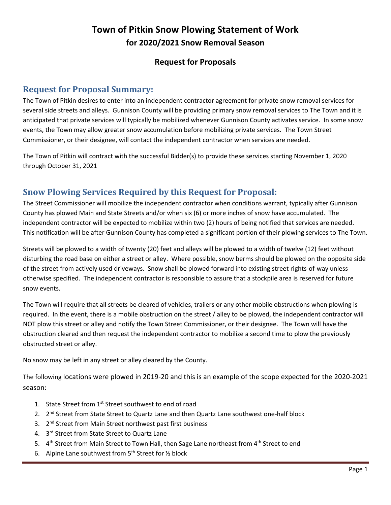# **Town of Pitkin Snow Plowing Statement of Work for 2020/2021 Snow Removal Season**

### **Request for Proposals**

### **Request for Proposal Summary:**

The Town of Pitkin desires to enter into an independent contractor agreement for private snow removal services for several side streets and alleys. Gunnison County will be providing primary snow removal services to The Town and it is anticipated that private services will typically be mobilized whenever Gunnison County activates service. In some snow events, the Town may allow greater snow accumulation before mobilizing private services. The Town Street Commissioner, or their designee, will contact the independent contractor when services are needed.

The Town of Pitkin will contract with the successful Bidder(s) to provide these services starting November 1, 2020 through October 31, 2021

# **Snow Plowing Services Required by this Request for Proposal:**

The Street Commissioner will mobilize the independent contractor when conditions warrant, typically after Gunnison County has plowed Main and State Streets and/or when six (6) or more inches of snow have accumulated. The independent contractor will be expected to mobilize within two (2) hours of being notified that services are needed. This notification will be after Gunnison County has completed a significant portion of their plowing services to The Town.

Streets will be plowed to a width of twenty (20) feet and alleys will be plowed to a width of twelve (12) feet without disturbing the road base on either a street or alley. Where possible, snow berms should be plowed on the opposite side of the street from actively used driveways. Snow shall be plowed forward into existing street rights-of-way unless otherwise specified. The independent contractor is responsible to assure that a stockpile area is reserved for future snow events.

The Town will require that all streets be cleared of vehicles, trailers or any other mobile obstructions when plowing is required. In the event, there is a mobile obstruction on the street / alley to be plowed, the independent contractor will NOT plow this street or alley and notify the Town Street Commissioner, or their designee. The Town will have the obstruction cleared and then request the independent contractor to mobilize a second time to plow the previously obstructed street or alley.

No snow may be left in any street or alley cleared by the County.

The following locations were plowed in 2019-20 and this is an example of the scope expected for the 2020-2021 season:

- 1. State Street from 1<sup>st</sup> Street southwest to end of road
- 2. 2<sup>nd</sup> Street from State Street to Quartz Lane and then Quartz Lane southwest one-half block
- 3. 2<sup>nd</sup> Street from Main Street northwest past first business
- 4. 3<sup>rd</sup> Street from State Street to Quartz Lane
- 5. 4<sup>th</sup> Street from Main Street to Town Hall, then Sage Lane northeast from 4<sup>th</sup> Street to end
- 6. Alpine Lane southwest from  $5<sup>th</sup>$  Street for  $\frac{1}{2}$  block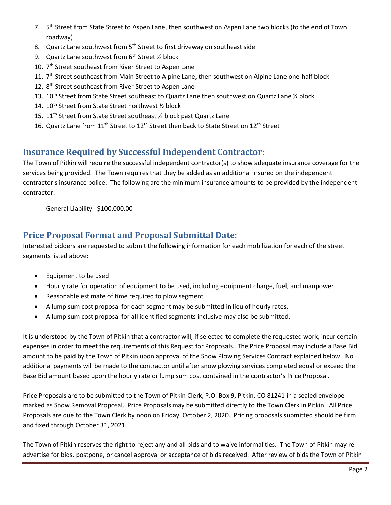- 7. 5<sup>th</sup> Street from State Street to Aspen Lane, then southwest on Aspen Lane two blocks (to the end of Town roadway)
- 8. Quartz Lane southwest from 5<sup>th</sup> Street to first driveway on southeast side
- 9. Quartz Lane southwest from  $6<sup>th</sup>$  Street  $\frac{1}{2}$  block
- 10. 7<sup>th</sup> Street southeast from River Street to Aspen Lane
- 11. 7<sup>th</sup> Street southeast from Main Street to Alpine Lane, then southwest on Alpine Lane one-half block
- 12. 8<sup>th</sup> Street southeast from River Street to Aspen Lane
- 13. 10<sup>th</sup> Street from State Street southeast to Quartz Lane then southwest on Quartz Lane ½ block
- 14. 10<sup>th</sup> Street from State Street northwest 1/2 block
- 15. 11<sup>th</sup> Street from State Street southeast 1/2 block past Quartz Lane
- 16. Quartz Lane from  $11<sup>th</sup>$  Street to  $12<sup>th</sup>$  Street then back to State Street on  $12<sup>th</sup>$  Street

# **Insurance Required by Successful Independent Contractor:**

The Town of Pitkin will require the successful independent contractor(s) to show adequate insurance coverage for the services being provided. The Town requires that they be added as an additional insured on the independent contractor's insurance police. The following are the minimum insurance amounts to be provided by the independent contractor:

General Liability: \$100,000.00

### **Price Proposal Format and Proposal Submittal Date:**

Interested bidders are requested to submit the following information for each mobilization for each of the street segments listed above:

- Equipment to be used
- Hourly rate for operation of equipment to be used, including equipment charge, fuel, and manpower
- Reasonable estimate of time required to plow segment
- A lump sum cost proposal for each segment may be submitted in lieu of hourly rates.
- A lump sum cost proposal for all identified segments inclusive may also be submitted.

It is understood by the Town of Pitkin that a contractor will, if selected to complete the requested work, incur certain expenses in order to meet the requirements of this Request for Proposals. The Price Proposal may include a Base Bid amount to be paid by the Town of Pitkin upon approval of the Snow Plowing Services Contract explained below. No additional payments will be made to the contractor until after snow plowing services completed equal or exceed the Base Bid amount based upon the hourly rate or lump sum cost contained in the contractor's Price Proposal.

Price Proposals are to be submitted to the Town of Pitkin Clerk, P.O. Box 9, Pitkin, CO 81241 in a sealed envelope marked as Snow Removal Proposal. Price Proposals may be submitted directly to the Town Clerk in Pitkin. All Price Proposals are due to the Town Clerk by noon on Friday, October 2, 2020. Pricing proposals submitted should be firm and fixed through October 31, 2021.

The Town of Pitkin reserves the right to reject any and all bids and to waive informalities. The Town of Pitkin may readvertise for bids, postpone, or cancel approval or acceptance of bids received. After review of bids the Town of Pitkin